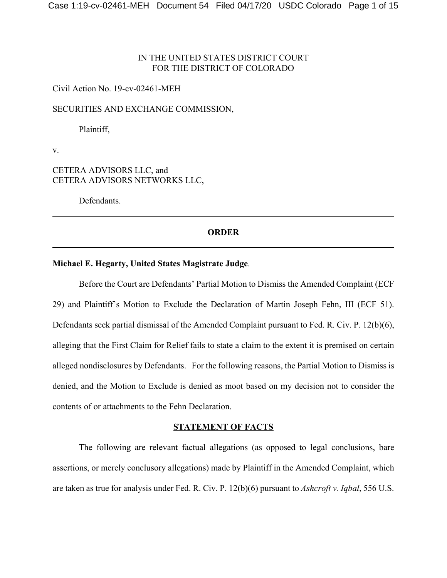# IN THE UNITED STATES DISTRICT COURT FOR THE DISTRICT OF COLORADO

## Civil Action No. 19-cv-02461-MEH

## SECURITIES AND EXCHANGE COMMISSION,

Plaintiff,

v.

# CETERA ADVISORS LLC, and CETERA ADVISORS NETWORKS LLC,

Defendants.

### **ORDER**

# **Michael E. Hegarty, United States Magistrate Judge**.

Before the Court are Defendants' Partial Motion to Dismiss the Amended Complaint (ECF 29) and Plaintiff's Motion to Exclude the Declaration of Martin Joseph Fehn, III (ECF 51). Defendants seek partial dismissal of the Amended Complaint pursuant to Fed. R. Civ. P. 12(b)(6), alleging that the First Claim for Relief fails to state a claim to the extent it is premised on certain alleged nondisclosures by Defendants. For the following reasons, the Partial Motion to Dismiss is denied, and the Motion to Exclude is denied as moot based on my decision not to consider the contents of or attachments to the Fehn Declaration.

## **STATEMENT OF FACTS**

The following are relevant factual allegations (as opposed to legal conclusions, bare assertions, or merely conclusory allegations) made by Plaintiff in the Amended Complaint, which are taken as true for analysis under Fed. R. Civ. P. 12(b)(6) pursuant to *Ashcroft v. Iqbal*, 556 U.S.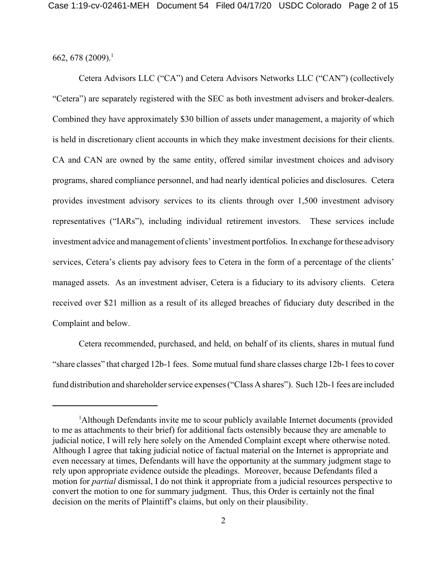662, 678 (2009).<sup>1</sup>

Cetera Advisors LLC ("CA") and Cetera Advisors Networks LLC ("CAN") (collectively "Cetera") are separately registered with the SEC as both investment advisers and broker-dealers. Combined they have approximately \$30 billion of assets under management, a majority of which is held in discretionary client accounts in which they make investment decisions for their clients. CA and CAN are owned by the same entity, offered similar investment choices and advisory programs, shared compliance personnel, and had nearly identical policies and disclosures. Cetera provides investment advisory services to its clients through over 1,500 investment advisory representatives ("IARs"), including individual retirement investors. These services include investment advice and management of clients' investment portfolios. In exchange for these advisory services, Cetera's clients pay advisory fees to Cetera in the form of a percentage of the clients' managed assets. As an investment adviser, Cetera is a fiduciary to its advisory clients. Cetera received over \$21 million as a result of its alleged breaches of fiduciary duty described in the Complaint and below.

Cetera recommended, purchased, and held, on behalf of its clients, shares in mutual fund "share classes" that charged 12b-1 fees. Some mutual fund share classes charge 12b-1 fees to cover fund distribution and shareholder service expenses ("Class A shares"). Such 12b-1 fees are included

<sup>&</sup>lt;sup>1</sup>Although Defendants invite me to scour publicly available Internet documents (provided to me as attachments to their brief) for additional facts ostensibly because they are amenable to judicial notice, I will rely here solely on the Amended Complaint except where otherwise noted. Although I agree that taking judicial notice of factual material on the Internet is appropriate and even necessary at times, Defendants will have the opportunity at the summary judgment stage to rely upon appropriate evidence outside the pleadings. Moreover, because Defendants filed a motion for *partial* dismissal, I do not think it appropriate from a judicial resources perspective to convert the motion to one for summary judgment. Thus, this Order is certainly not the final decision on the merits of Plaintiff's claims, but only on their plausibility.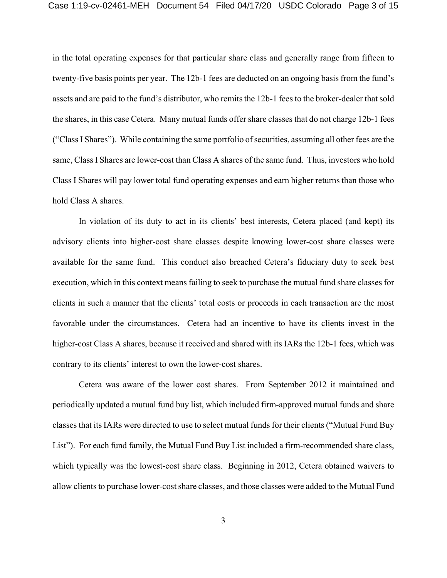in the total operating expenses for that particular share class and generally range from fifteen to twenty-five basis points per year. The 12b-1 fees are deducted on an ongoing basis from the fund's assets and are paid to the fund's distributor, who remits the 12b-1 fees to the broker-dealer that sold the shares, in this case Cetera. Many mutual funds offer share classes that do not charge 12b-1 fees ("Class I Shares"). While containing the same portfolio of securities, assuming all other fees are the same, Class I Shares are lower-cost than Class A shares of the same fund. Thus, investors who hold Class I Shares will pay lower total fund operating expenses and earn higher returns than those who hold Class A shares.

In violation of its duty to act in its clients' best interests, Cetera placed (and kept) its advisory clients into higher-cost share classes despite knowing lower-cost share classes were available for the same fund. This conduct also breached Cetera's fiduciary duty to seek best execution, which in this context means failing to seek to purchase the mutual fund share classes for clients in such a manner that the clients' total costs or proceeds in each transaction are the most favorable under the circumstances. Cetera had an incentive to have its clients invest in the higher-cost Class A shares, because it received and shared with its IARs the 12b-1 fees, which was contrary to its clients' interest to own the lower-cost shares.

Cetera was aware of the lower cost shares. From September 2012 it maintained and periodically updated a mutual fund buy list, which included firm-approved mutual funds and share classes that its IARs were directed to use to select mutual funds for their clients ("Mutual Fund Buy List"). For each fund family, the Mutual Fund Buy List included a firm-recommended share class, which typically was the lowest-cost share class. Beginning in 2012, Cetera obtained waivers to allow clients to purchase lower-cost share classes, and those classes were added to the Mutual Fund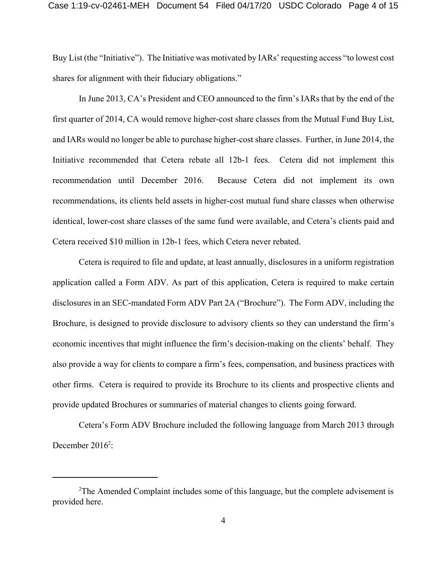Buy List (the "Initiative"). The Initiative was motivated by IARs' requesting access "to lowest cost shares for alignment with their fiduciary obligations."

In June 2013, CA's President and CEO announced to the firm's IARs that by the end of the first quarter of 2014, CA would remove higher-cost share classes from the Mutual Fund Buy List, and IARs would no longer be able to purchase higher-cost share classes. Further, in June 2014, the Initiative recommended that Cetera rebate all 12b-1 fees. Cetera did not implement this recommendation until December 2016. Because Cetera did not implement its own recommendations, its clients held assets in higher-cost mutual fund share classes when otherwise identical, lower-cost share classes of the same fund were available, and Cetera's clients paid and Cetera received \$10 million in 12b-1 fees, which Cetera never rebated.

Cetera is required to file and update, at least annually, disclosures in a uniform registration application called a Form ADV. As part of this application, Cetera is required to make certain disclosures in an SEC-mandated Form ADV Part 2A ("Brochure"). The Form ADV, including the Brochure, is designed to provide disclosure to advisory clients so they can understand the firm's economic incentives that might influence the firm's decision-making on the clients' behalf. They also provide a way for clients to compare a firm's fees, compensation, and business practices with other firms. Cetera is required to provide its Brochure to its clients and prospective clients and provide updated Brochures or summaries of material changes to clients going forward.

Cetera's Form ADV Brochure included the following language from March 2013 through December  $2016^2$ :

<sup>&</sup>lt;sup>2</sup>The Amended Complaint includes some of this language, but the complete advisement is provided here.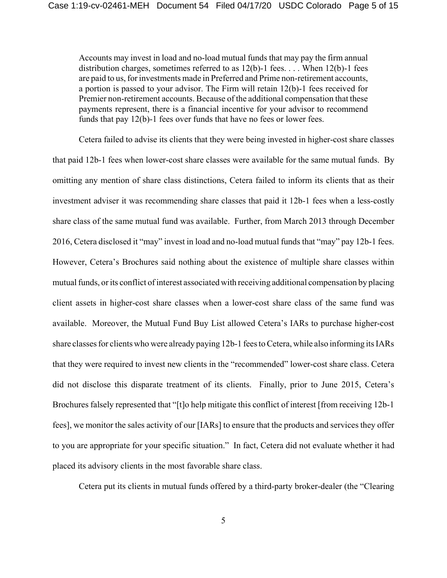Accounts may invest in load and no-load mutual funds that may pay the firm annual distribution charges, sometimes referred to as  $12(b)$ -1 fees.... When  $12(b)$ -1 fees are paid to us, for investments made in Preferred and Prime non-retirement accounts, a portion is passed to your advisor. The Firm will retain 12(b)-1 fees received for Premier non-retirement accounts. Because of the additional compensation that these payments represent, there is a financial incentive for your advisor to recommend funds that pay 12(b)-1 fees over funds that have no fees or lower fees.

Cetera failed to advise its clients that they were being invested in higher-cost share classes that paid 12b-1 fees when lower-cost share classes were available for the same mutual funds. By omitting any mention of share class distinctions, Cetera failed to inform its clients that as their investment adviser it was recommending share classes that paid it 12b-1 fees when a less-costly share class of the same mutual fund was available. Further, from March 2013 through December 2016, Cetera disclosed it "may" invest in load and no-load mutual funds that "may" pay 12b-1 fees. However, Cetera's Brochures said nothing about the existence of multiple share classes within mutual funds, or its conflict of interest associated with receiving additional compensation by placing client assets in higher-cost share classes when a lower-cost share class of the same fund was available. Moreover, the Mutual Fund Buy List allowed Cetera's IARs to purchase higher-cost share classes for clients who were already paying 12b-1 fees to Cetera, while also informing its IARs that they were required to invest new clients in the "recommended" lower-cost share class. Cetera did not disclose this disparate treatment of its clients. Finally, prior to June 2015, Cetera's Brochures falsely represented that "[t]o help mitigate this conflict of interest [from receiving 12b-1 fees], we monitor the sales activity of our [IARs] to ensure that the products and services they offer to you are appropriate for your specific situation." In fact, Cetera did not evaluate whether it had placed its advisory clients in the most favorable share class.

Cetera put its clients in mutual funds offered by a third-party broker-dealer (the "Clearing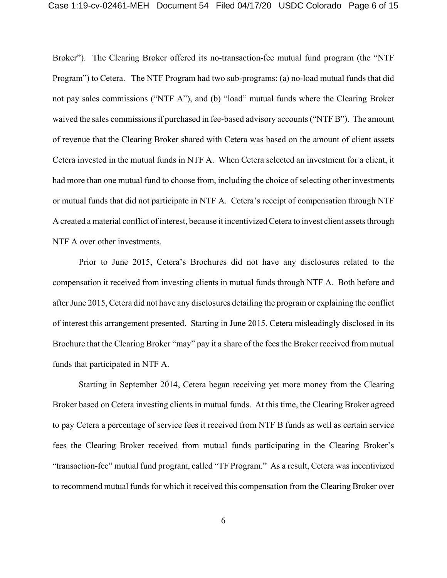Broker"). The Clearing Broker offered its no-transaction-fee mutual fund program (the "NTF Program") to Cetera. The NTF Program had two sub-programs: (a) no-load mutual funds that did not pay sales commissions ("NTF A"), and (b) "load" mutual funds where the Clearing Broker waived the sales commissions if purchased in fee-based advisory accounts ("NTF B"). The amount of revenue that the Clearing Broker shared with Cetera was based on the amount of client assets Cetera invested in the mutual funds in NTF A. When Cetera selected an investment for a client, it had more than one mutual fund to choose from, including the choice of selecting other investments or mutual funds that did not participate in NTF A. Cetera's receipt of compensation through NTF A created a material conflict of interest, because it incentivized Cetera to invest client assets through NTF A over other investments.

Prior to June 2015, Cetera's Brochures did not have any disclosures related to the compensation it received from investing clients in mutual funds through NTF A. Both before and after June 2015, Cetera did not have any disclosures detailing the program or explaining the conflict of interest this arrangement presented. Starting in June 2015, Cetera misleadingly disclosed in its Brochure that the Clearing Broker "may" pay it a share of the fees the Broker received from mutual funds that participated in NTF A.

Starting in September 2014, Cetera began receiving yet more money from the Clearing Broker based on Cetera investing clients in mutual funds. At this time, the Clearing Broker agreed to pay Cetera a percentage of service fees it received from NTF B funds as well as certain service fees the Clearing Broker received from mutual funds participating in the Clearing Broker's "transaction-fee" mutual fund program, called "TF Program." As a result, Cetera was incentivized to recommend mutual funds for which it received this compensation from the Clearing Broker over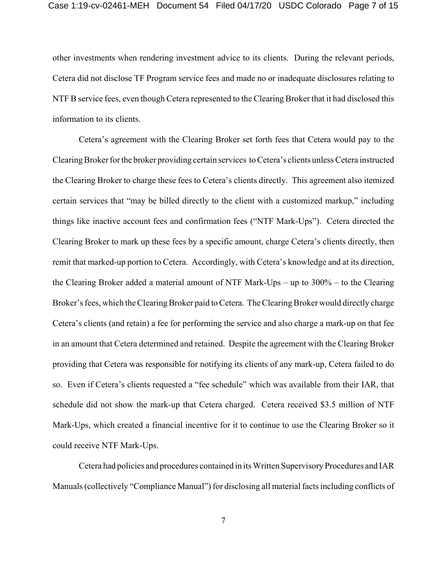other investments when rendering investment advice to its clients. During the relevant periods, Cetera did not disclose TF Program service fees and made no or inadequate disclosures relating to NTF B service fees, even though Cetera represented to the Clearing Broker that it had disclosed this information to its clients.

Cetera's agreement with the Clearing Broker set forth fees that Cetera would pay to the Clearing Broker for the broker providing certain services to Cetera's clients unless Cetera instructed the Clearing Broker to charge these fees to Cetera's clients directly. This agreement also itemized certain services that "may be billed directly to the client with a customized markup," including things like inactive account fees and confirmation fees ("NTF Mark-Ups"). Cetera directed the Clearing Broker to mark up these fees by a specific amount, charge Cetera's clients directly, then remit that marked-up portion to Cetera. Accordingly, with Cetera's knowledge and at its direction, the Clearing Broker added a material amount of NTF Mark-Ups – up to  $300\%$  – to the Clearing Broker's fees, which the Clearing Broker paid to Cetera. The Clearing Broker would directly charge Cetera's clients (and retain) a fee for performing the service and also charge a mark-up on that fee in an amount that Cetera determined and retained. Despite the agreement with the Clearing Broker providing that Cetera was responsible for notifying its clients of any mark-up, Cetera failed to do so. Even if Cetera's clients requested a "fee schedule" which was available from their IAR, that schedule did not show the mark-up that Cetera charged. Cetera received \$3.5 million of NTF Mark-Ups, which created a financial incentive for it to continue to use the Clearing Broker so it could receive NTF Mark-Ups.

Cetera had policies and procedures contained in its Written Supervisory Procedures and IAR Manuals (collectively "Compliance Manual") for disclosing all material facts including conflicts of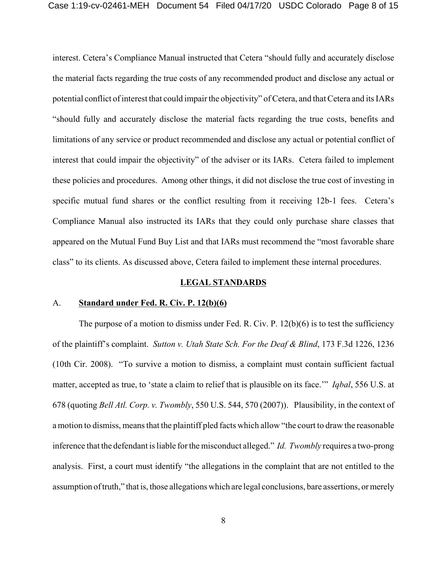interest. Cetera's Compliance Manual instructed that Cetera "should fully and accurately disclose the material facts regarding the true costs of any recommended product and disclose any actual or potential conflict of interest that could impair the objectivity" of Cetera, and that Cetera and its IARs "should fully and accurately disclose the material facts regarding the true costs, benefits and limitations of any service or product recommended and disclose any actual or potential conflict of interest that could impair the objectivity" of the adviser or its IARs. Cetera failed to implement these policies and procedures. Among other things, it did not disclose the true cost of investing in specific mutual fund shares or the conflict resulting from it receiving 12b-1 fees. Cetera's Compliance Manual also instructed its IARs that they could only purchase share classes that appeared on the Mutual Fund Buy List and that IARs must recommend the "most favorable share class" to its clients. As discussed above, Cetera failed to implement these internal procedures.

#### **LEGAL STANDARDS**

## A. **Standard under Fed. R. Civ. P. 12(b)(6)**

The purpose of a motion to dismiss under Fed. R. Civ. P.  $12(b)(6)$  is to test the sufficiency of the plaintiff's complaint. *Sutton v. Utah State Sch. For the Deaf & Blind*, 173 F.3d 1226, 1236 (10th Cir. 2008). "To survive a motion to dismiss, a complaint must contain sufficient factual matter, accepted as true, to 'state a claim to relief that is plausible on its face.'" *Iqbal*, 556 U.S. at 678 (quoting *Bell Atl. Corp. v. Twombly*, 550 U.S. 544, 570 (2007)). Plausibility, in the context of a motion to dismiss, means that the plaintiff pled facts which allow "the court to draw the reasonable inference that the defendant is liable for the misconduct alleged." *Id. Twombly* requires a two-prong analysis. First, a court must identify "the allegations in the complaint that are not entitled to the assumption of truth," that is, those allegations which are legal conclusions, bare assertions, or merely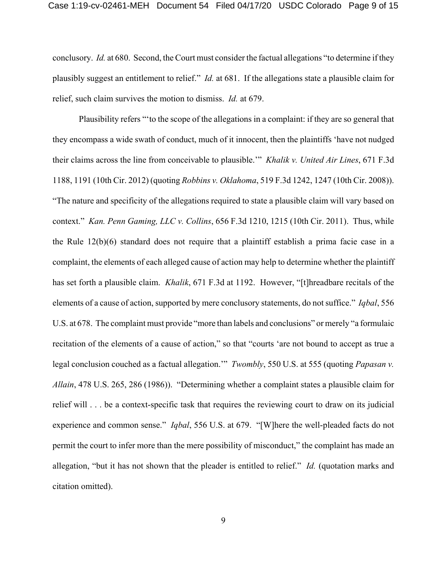conclusory. *Id.* at 680. Second, the Court must consider the factual allegations "to determine if they plausibly suggest an entitlement to relief." *Id.* at 681. If the allegations state a plausible claim for relief, such claim survives the motion to dismiss. *Id.* at 679.

Plausibility refers "'to the scope of the allegations in a complaint: if they are so general that they encompass a wide swath of conduct, much of it innocent, then the plaintiffs 'have not nudged their claims across the line from conceivable to plausible.'" *Khalik v. United Air Lines*, 671 F.3d 1188, 1191 (10th Cir. 2012) (quoting *Robbins v. Oklahoma*, 519 F.3d 1242, 1247 (10th Cir. 2008)). "The nature and specificity of the allegations required to state a plausible claim will vary based on context." *Kan. Penn Gaming, LLC v. Collins*, 656 F.3d 1210, 1215 (10th Cir. 2011). Thus, while the Rule 12(b)(6) standard does not require that a plaintiff establish a prima facie case in a complaint, the elements of each alleged cause of action may help to determine whether the plaintiff has set forth a plausible claim. *Khalik*, 671 F.3d at 1192. However, "[t]hreadbare recitals of the elements of a cause of action, supported by mere conclusory statements, do not suffice." *Iqbal*, 556 U.S. at 678. The complaint must provide "more than labels and conclusions" or merely "a formulaic recitation of the elements of a cause of action," so that "courts 'are not bound to accept as true a legal conclusion couched as a factual allegation.'" *Twombly*, 550 U.S. at 555 (quoting *Papasan v. Allain*, 478 U.S. 265, 286 (1986)). "Determining whether a complaint states a plausible claim for relief will . . . be a context-specific task that requires the reviewing court to draw on its judicial experience and common sense." *Iqbal*, 556 U.S. at 679. "[W]here the well-pleaded facts do not permit the court to infer more than the mere possibility of misconduct," the complaint has made an allegation, "but it has not shown that the pleader is entitled to relief." *Id.* (quotation marks and citation omitted).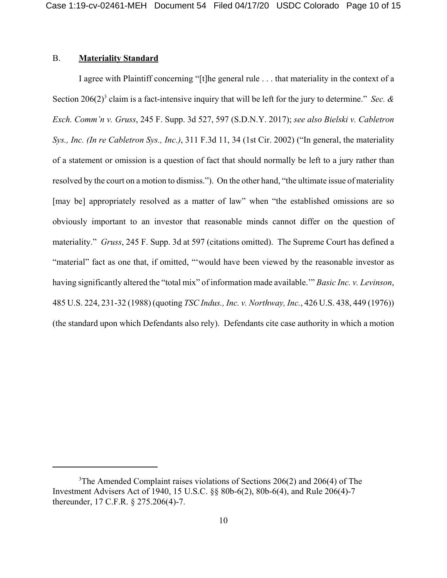#### **B. Materiality Standard**

I agree with Plaintiff concerning "[t] he general rule . . . that materiality in the context of a Section 206(2)<sup>3</sup> claim is a fact-intensive inquiry that will be left for the jury to determine." Sec. & Exch. Comm'n v. Gruss, 245 F. Supp. 3d 527, 597 (S.D.N.Y. 2017); see also Bielski v. Cabletron Sys., Inc. (In re Cabletron Sys., Inc.), 311 F.3d 11, 34 (1st Cir. 2002) ("In general, the materiality of a statement or omission is a question of fact that should normally be left to a jury rather than resolved by the court on a motion to dismiss."). On the other hand, "the ultimate issue of materiality [may be] appropriately resolved as a matter of law" when "the established omissions are so obviously important to an investor that reasonable minds cannot differ on the question of materiality." Gruss, 245 F. Supp. 3d at 597 (citations omitted). The Supreme Court has defined a "material" fact as one that, if omitted, "would have been viewed by the reasonable investor as having significantly altered the "total mix" of information made available." Basic Inc. v. Levinson, 485 U.S. 224, 231-32 (1988) (quoting *TSC Indus., Inc. v. Northway, Inc.*, 426 U.S. 438, 449 (1976)) (the standard upon which Defendants also rely). Defendants cite case authority in which a motion

 $3$ The Amended Complaint raises violations of Sections 206(2) and 206(4) of The Investment Advisers Act of 1940, 15 U.S.C. §§ 80b-6(2), 80b-6(4), and Rule 206(4)-7 thereunder, 17 C.F.R. § 275.206(4)-7.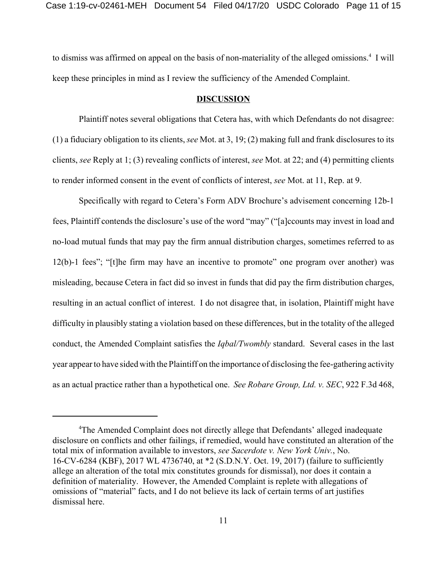to dismiss was affirmed on appeal on the basis of non-materiality of the alleged omissions.<sup>4</sup> I will keep these principles in mind as I review the sufficiency of the Amended Complaint.

#### **DISCUSSION**

Plaintiff notes several obligations that Cetera has, with which Defendants do not disagree: (1) a fiduciary obligation to its clients, *see* Mot. at 3, 19; (2) making full and frank disclosures to its clients, *see* Reply at 1; (3) revealing conflicts of interest, *see* Mot. at 22; and (4) permitting clients to render informed consent in the event of conflicts of interest, *see* Mot. at 11, Rep. at 9.

Specifically with regard to Cetera's Form ADV Brochure's advisement concerning 12b-1 fees, Plaintiff contends the disclosure's use of the word "may" ("[a]ccounts may invest in load and no-load mutual funds that may pay the firm annual distribution charges, sometimes referred to as 12(b)-1 fees"; "[t]he firm may have an incentive to promote" one program over another) was misleading, because Cetera in fact did so invest in funds that did pay the firm distribution charges, resulting in an actual conflict of interest. I do not disagree that, in isolation, Plaintiff might have difficulty in plausibly stating a violation based on these differences, but in the totality of the alleged conduct, the Amended Complaint satisfies the *Iqbal/Twombly* standard. Several cases in the last year appear to have sided with the Plaintiff on the importance of disclosing the fee-gathering activity as an actual practice rather than a hypothetical one. *See Robare Group, Ltd. v. SEC*, 922 F.3d 468,

<sup>4</sup>The Amended Complaint does not directly allege that Defendants' alleged inadequate disclosure on conflicts and other failings, if remedied, would have constituted an alteration of the total mix of information available to investors, *see Sacerdote v. New York Univ.*, No. 16-CV-6284 (KBF), 2017 WL 4736740, at \*2 (S.D.N.Y. Oct. 19, 2017) (failure to sufficiently allege an alteration of the total mix constitutes grounds for dismissal), nor does it contain a definition of materiality. However, the Amended Complaint is replete with allegations of omissions of "material" facts, and I do not believe its lack of certain terms of art justifies dismissal here.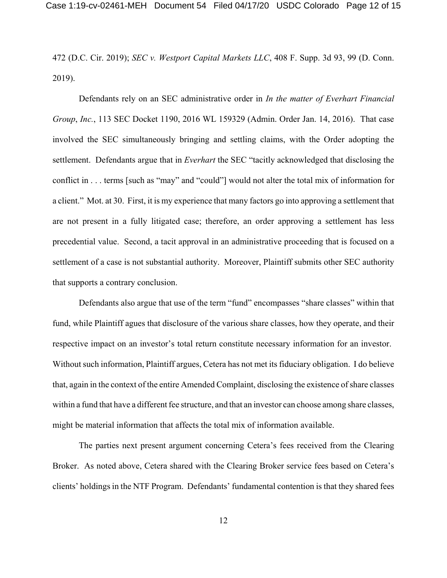472 (D.C. Cir. 2019); SEC v. Westport Capital Markets LLC, 408 F. Supp. 3d 93, 99 (D. Conn.  $2019$ ).

Defendants rely on an SEC administrative order in In the matter of Everhart Financial Group, Inc., 113 SEC Docket 1190, 2016 WL 159329 (Admin. Order Jan. 14, 2016). That case involved the SEC simultaneously bringing and settling claims, with the Order adopting the settlement. Defendants argue that in *Everhart* the SEC "tacitly acknowledged that disclosing the conflict in . . . terms [such as "may" and "could"] would not alter the total mix of information for a client." Mot. at 30. First, it is my experience that many factors go into approving a settlement that are not present in a fully litigated case; therefore, an order approving a settlement has less precedential value. Second, a tacit approval in an administrative proceeding that is focused on a settlement of a case is not substantial authority. Moreover, Plaintiff submits other SEC authority that supports a contrary conclusion.

Defendants also argue that use of the term "fund" encompasses "share classes" within that fund, while Plaintiff agues that disclosure of the various share classes, how they operate, and their respective impact on an investor's total return constitute necessary information for an investor. Without such information, Plaintiff argues, Cetera has not met its fiduciary obligation. I do believe that, again in the context of the entire Amended Complaint, disclosing the existence of share classes within a fund that have a different fee structure, and that an investor can choose among share classes, might be material information that affects the total mix of information available.

The parties next present argument concerning Cetera's fees received from the Clearing Broker. As noted above, Cetera shared with the Clearing Broker service fees based on Cetera's clients' holdings in the NTF Program. Defendants' fundamental contention is that they shared fees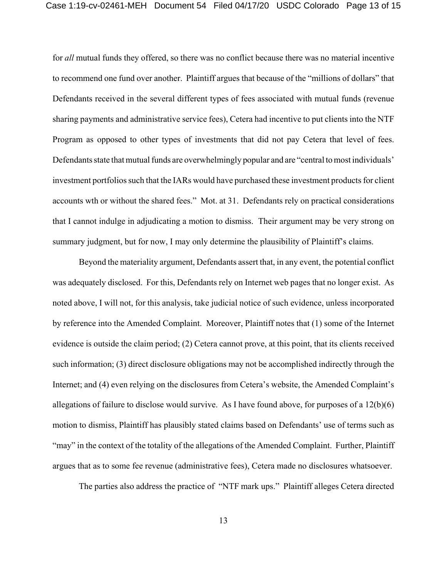for *all* mutual funds they offered, so there was no conflict because there was no material incentive to recommend one fund over another. Plaintiff argues that because of the "millions of dollars" that Defendants received in the several different types of fees associated with mutual funds (revenue sharing payments and administrative service fees), Cetera had incentive to put clients into the NTF Program as opposed to other types of investments that did not pay Cetera that level of fees. Defendants state that mutual funds are overwhelmingly popular and are "central to most individuals' investment portfolios such that the IARs would have purchased these investment products for client accounts wth or without the shared fees." Mot. at 31. Defendants rely on practical considerations that I cannot indulge in adjudicating a motion to dismiss. Their argument may be very strong on summary judgment, but for now, I may only determine the plausibility of Plaintiff's claims.

Beyond the materiality argument, Defendants assert that, in any event, the potential conflict was adequately disclosed. For this, Defendants rely on Internet web pages that no longer exist. As noted above, I will not, for this analysis, take judicial notice of such evidence, unless incorporated by reference into the Amended Complaint. Moreover, Plaintiff notes that (1) some of the Internet evidence is outside the claim period; (2) Cetera cannot prove, at this point, that its clients received such information; (3) direct disclosure obligations may not be accomplished indirectly through the Internet; and (4) even relying on the disclosures from Cetera's website, the Amended Complaint's allegations of failure to disclose would survive. As I have found above, for purposes of a 12(b)(6) motion to dismiss, Plaintiff has plausibly stated claims based on Defendants' use of terms such as "may" in the context of the totality of the allegations of the Amended Complaint. Further, Plaintiff argues that as to some fee revenue (administrative fees), Cetera made no disclosures whatsoever.

The parties also address the practice of "NTF mark ups." Plaintiff alleges Cetera directed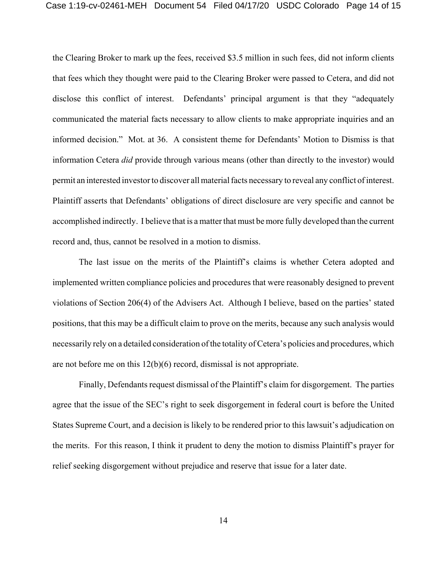the Clearing Broker to mark up the fees, received \$3.5 million in such fees, did not inform clients that fees which they thought were paid to the Clearing Broker were passed to Cetera, and did not disclose this conflict of interest. Defendants' principal argument is that they "adequately communicated the material facts necessary to allow clients to make appropriate inquiries and an informed decision." Mot. at 36. A consistent theme for Defendants' Motion to Dismiss is that information Cetera *did* provide through various means (other than directly to the investor) would permit an interested investor to discover all material facts necessary to reveal any conflict of interest. Plaintiff asserts that Defendants' obligations of direct disclosure are very specific and cannot be accomplished indirectly. I believe that is a matter that must be more fully developed than the current record and, thus, cannot be resolved in a motion to dismiss.

The last issue on the merits of the Plaintiff's claims is whether Cetera adopted and implemented written compliance policies and procedures that were reasonably designed to prevent violations of Section 206(4) of the Advisers Act. Although I believe, based on the parties' stated positions, that this may be a difficult claim to prove on the merits, because any such analysis would necessarily rely on a detailed consideration of the totality of Cetera's policies and procedures, which are not before me on this  $12(b)(6)$  record, dismissal is not appropriate.

Finally, Defendants request dismissal of the Plaintiff's claim for disgorgement. The parties agree that the issue of the SEC's right to seek disgorgement in federal court is before the United States Supreme Court, and a decision is likely to be rendered prior to this lawsuit's adjudication on the merits. For this reason, I think it prudent to deny the motion to dismiss Plaintiff's prayer for relief seeking disgorgement without prejudice and reserve that issue for a later date.